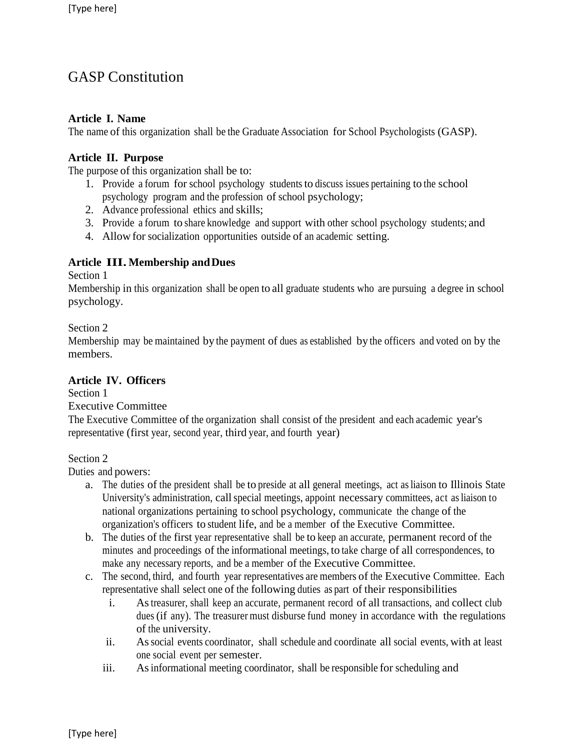# GASP Constitution

## **Article I. Name**

The name of this organization shall be the Graduate Association for School Psychologists (GASP).

## **Article II. Purpose**

The purpose of this organization shall be to:

- 1. Provide a forum for school psychology studentsto discuss issues pertaining to the school psychology program and the profession of school psychology;
- 2. Advance professional ethics and skills;
- 3. Provide a forum to share knowledge and support with other school psychology students; and
- 4. Allow for socialization opportunities outside of an academic setting.

## **Article III. Membership andDues**

Section 1

Membership in this organization shall be open to all graduate students who are pursuing a degree in school psychology.

### Section 2

Membership may be maintained by the payment of dues as established by the officers and voted on by the members.

### **Article IV. Officers**

Section 1 Executive Committee

The Executive Committee of the organization shall consist of the president and each academic year's representative (first year, second year, third year, and fourth year)

### Section 2

Duties and powers:

- a. The duties of the president shall be to preside at all general meetings, act asliaison to Illinois State University's administration, callspecial meetings, appoint necessary committees, act asliaison to national organizations pertaining to school psychology, communicate the change of the organization's officers to student life, and be a member of the Executive Committee.
- b. The duties of the first year representative shall be to keep an accurate, permanent record of the minutes and proceedings of the informational meetings, to take charge of all correspondences, to make any necessary reports, and be a member of the Executive Committee.
- c. The second, third, and fourth year representatives are members of the Executive Committee. Each representative shall select one of the following duties as part of their responsibilities
	- i. Astreasurer, shall keep an accurate, permanent record of all transactions, and collect club dues (if any). The treasurer must disburse fund money in accordance with the regulations of the university.
	- ii. Associal events coordinator, shall schedule and coordinate all social events, with at least one social event per semester.
	- iii. As informational meeting coordinator, shall be responsible for scheduling and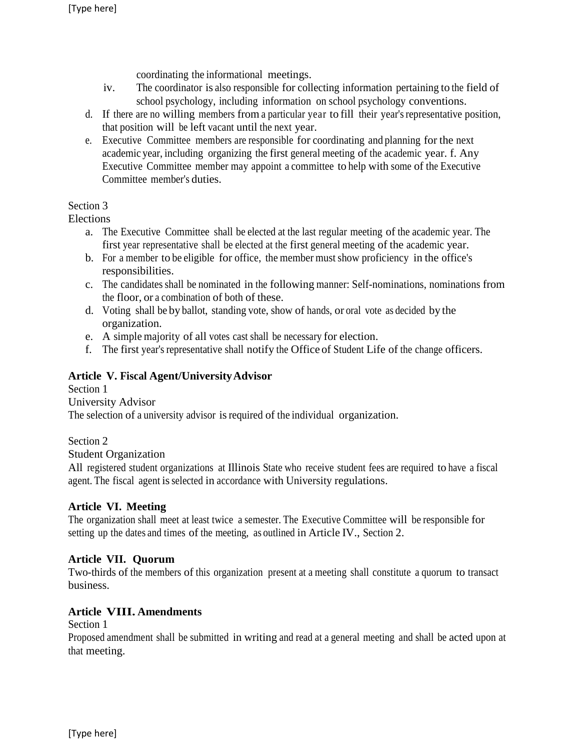coordinating the informational meetings.

- iv. The coordinator is also responsible for collecting information pertaining to the field of school psychology, including information on school psychology conventions.
- d. If there are no willing members from a particular year to fill their year'srepresentative position, that position will be left vacant until the next year.
- e. Executive Committee members are responsible for coordinating and planning for the next academic year, including organizing the first general meeting of the academic year. f. Any Executive Committee member may appoint a committee to help with some of the Executive Committee member's duties.

## Section 3

Elections

- a. The Executive Committee shall be elected at the last regular meeting of the academic year. The first year representative shall be elected at the first general meeting of the academic year.
- b. For a member to be eligible for office, the member must show proficiency in the office's responsibilities.
- c. The candidates shall be nominated in the following manner: Self-nominations, nominations from the floor, or a combination of both of these.
- d. Voting shall be by ballot, standing vote, show of hands, or oral vote as decided by the organization.
- e. A simple majority of all votes cast shall be necessary for election.
- f. The first year's representative shall notify the Office of Student Life of the change officers.

# **Article V. Fiscal Agent/UniversityAdvisor**

Section 1 University Advisor The selection of a university advisor is required of the individual organization.

Section 2

Student Organization

All registered student organizations at Illinois State who receive student fees are required to have a fiscal agent. The fiscal agent is selected in accordance with University regulations.

# **Article VI. Meeting**

The organization shall meet at least twice a semester. The Executive Committee will be responsible for setting up the dates and times of the meeting, as outlined in Article IV., Section 2.

# **Article VII. Quorum**

Two-thirds of the members of this organization present at a meeting shall constitute a quorum to transact business.

### **Article VIII. Amendments**

Section 1

Proposed amendment shall be submitted in writing and read at a general meeting and shall be acted upon at that meeting.